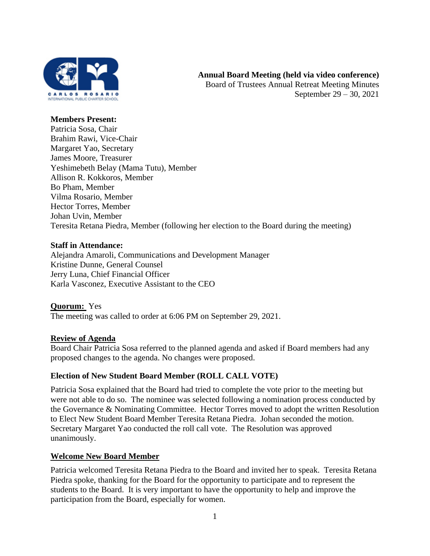

#### **Members Present:**

Patricia Sosa, Chair Brahim Rawi, Vice-Chair Margaret Yao, Secretary James Moore, Treasurer Yeshimebeth Belay (Mama Tutu), Member Allison R. Kokkoros, Member Bo Pham, Member Vilma Rosario, Member Hector Torres, Member Johan Uvin, Member Teresita Retana Piedra, Member (following her election to the Board during the meeting)

#### **Staff in Attendance:**

Alejandra Amaroli, Communications and Development Manager Kristine Dunne, General Counsel Jerry Luna, Chief Financial Officer Karla Vasconez, Executive Assistant to the CEO

### **Quorum:** Yes The meeting was called to order at 6:06 PM on September 29, 2021.

#### **Review of Agenda**

Board Chair Patricia Sosa referred to the planned agenda and asked if Board members had any proposed changes to the agenda. No changes were proposed.

#### **Election of New Student Board Member (ROLL CALL VOTE)**

Patricia Sosa explained that the Board had tried to complete the vote prior to the meeting but were not able to do so. The nominee was selected following a nomination process conducted by the Governance & Nominating Committee. Hector Torres moved to adopt the written Resolution to Elect New Student Board Member Teresita Retana Piedra. Johan seconded the motion. Secretary Margaret Yao conducted the roll call vote. The Resolution was approved unanimously.

#### **Welcome New Board Member**

Patricia welcomed Teresita Retana Piedra to the Board and invited her to speak. Teresita Retana Piedra spoke, thanking for the Board for the opportunity to participate and to represent the students to the Board. It is very important to have the opportunity to help and improve the participation from the Board, especially for women.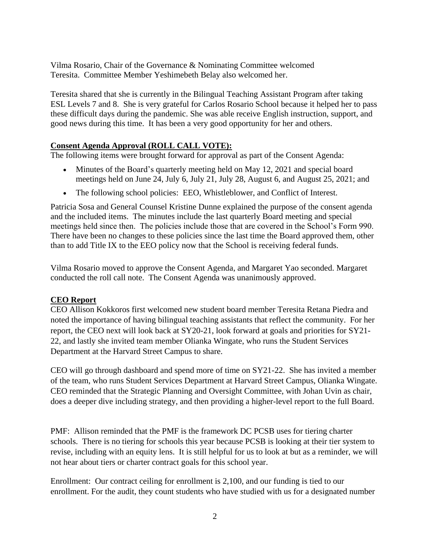Vilma Rosario, Chair of the Governance & Nominating Committee welcomed Teresita. Committee Member Yeshimebeth Belay also welcomed her.

Teresita shared that she is currently in the Bilingual Teaching Assistant Program after taking ESL Levels 7 and 8. She is very grateful for Carlos Rosario School because it helped her to pass these difficult days during the pandemic. She was able receive English instruction, support, and good news during this time. It has been a very good opportunity for her and others.

# **Consent Agenda Approval (ROLL CALL VOTE):**

The following items were brought forward for approval as part of the Consent Agenda:

- Minutes of the Board's quarterly meeting held on May 12, 2021 and special board meetings held on June 24, July 6, July 21, July 28, August 6, and August 25, 2021; and
- The following school policies: EEO, Whistleblower, and Conflict of Interest.

Patricia Sosa and General Counsel Kristine Dunne explained the purpose of the consent agenda and the included items. The minutes include the last quarterly Board meeting and special meetings held since then. The policies include those that are covered in the School's Form 990. There have been no changes to these policies since the last time the Board approved them, other than to add Title IX to the EEO policy now that the School is receiving federal funds.

Vilma Rosario moved to approve the Consent Agenda, and Margaret Yao seconded. Margaret conducted the roll call note. The Consent Agenda was unanimously approved.

### **CEO Report**

CEO Allison Kokkoros first welcomed new student board member Teresita Retana Piedra and noted the importance of having bilingual teaching assistants that reflect the community. For her report, the CEO next will look back at SY20-21, look forward at goals and priorities for SY21- 22, and lastly she invited team member Olianka Wingate, who runs the Student Services Department at the Harvard Street Campus to share.

CEO will go through dashboard and spend more of time on SY21-22. She has invited a member of the team, who runs Student Services Department at Harvard Street Campus, Olianka Wingate. CEO reminded that the Strategic Planning and Oversight Committee, with Johan Uvin as chair, does a deeper dive including strategy, and then providing a higher-level report to the full Board.

PMF: Allison reminded that the PMF is the framework DC PCSB uses for tiering charter schools. There is no tiering for schools this year because PCSB is looking at their tier system to revise, including with an equity lens. It is still helpful for us to look at but as a reminder, we will not hear about tiers or charter contract goals for this school year.

Enrollment: Our contract ceiling for enrollment is 2,100, and our funding is tied to our enrollment. For the audit, they count students who have studied with us for a designated number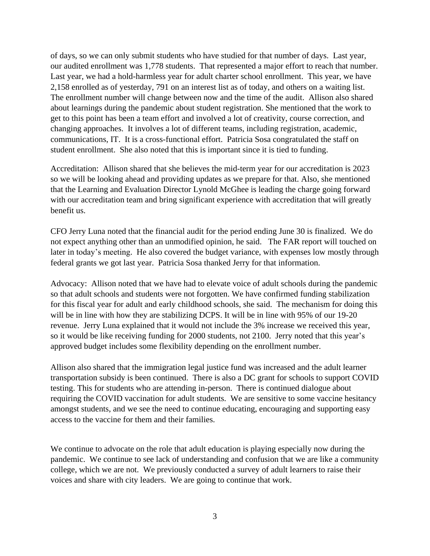of days, so we can only submit students who have studied for that number of days. Last year, our audited enrollment was 1,778 students. That represented a major effort to reach that number. Last year, we had a hold-harmless year for adult charter school enrollment. This year, we have 2,158 enrolled as of yesterday, 791 on an interest list as of today, and others on a waiting list. The enrollment number will change between now and the time of the audit. Allison also shared about learnings during the pandemic about student registration. She mentioned that the work to get to this point has been a team effort and involved a lot of creativity, course correction, and changing approaches. It involves a lot of different teams, including registration, academic, communications, IT. It is a cross-functional effort. Patricia Sosa congratulated the staff on student enrollment. She also noted that this is important since it is tied to funding.

Accreditation: Allison shared that she believes the mid-term year for our accreditation is 2023 so we will be looking ahead and providing updates as we prepare for that. Also, she mentioned that the Learning and Evaluation Director Lynold McGhee is leading the charge going forward with our accreditation team and bring significant experience with accreditation that will greatly benefit us.

CFO Jerry Luna noted that the financial audit for the period ending June 30 is finalized. We do not expect anything other than an unmodified opinion, he said. The FAR report will touched on later in today's meeting. He also covered the budget variance, with expenses low mostly through federal grants we got last year. Patricia Sosa thanked Jerry for that information.

Advocacy: Allison noted that we have had to elevate voice of adult schools during the pandemic so that adult schools and students were not forgotten. We have confirmed funding stabilization for this fiscal year for adult and early childhood schools, she said. The mechanism for doing this will be in line with how they are stabilizing DCPS. It will be in line with 95% of our 19-20 revenue. Jerry Luna explained that it would not include the 3% increase we received this year, so it would be like receiving funding for 2000 students, not 2100. Jerry noted that this year's approved budget includes some flexibility depending on the enrollment number.

Allison also shared that the immigration legal justice fund was increased and the adult learner transportation subsidy is been continued. There is also a DC grant for schools to support COVID testing. This for students who are attending in-person. There is continued dialogue about requiring the COVID vaccination for adult students. We are sensitive to some vaccine hesitancy amongst students, and we see the need to continue educating, encouraging and supporting easy access to the vaccine for them and their families.

We continue to advocate on the role that adult education is playing especially now during the pandemic. We continue to see lack of understanding and confusion that we are like a community college, which we are not. We previously conducted a survey of adult learners to raise their voices and share with city leaders. We are going to continue that work.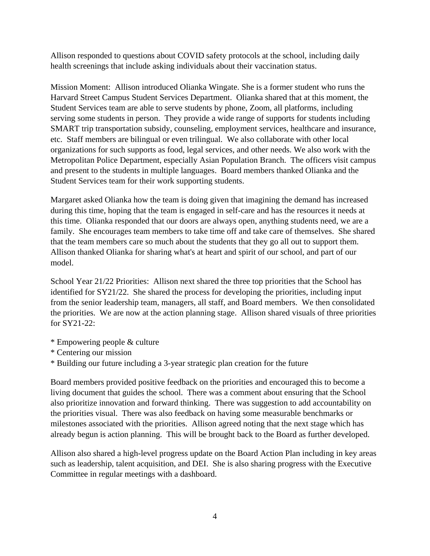Allison responded to questions about COVID safety protocols at the school, including daily health screenings that include asking individuals about their vaccination status.

Mission Moment: Allison introduced Olianka Wingate. She is a former student who runs the Harvard Street Campus Student Services Department. Olianka shared that at this moment, the Student Services team are able to serve students by phone, Zoom, all platforms, including serving some students in person. They provide a wide range of supports for students including SMART trip transportation subsidy, counseling, employment services, healthcare and insurance, etc. Staff members are bilingual or even trilingual. We also collaborate with other local organizations for such supports as food, legal services, and other needs. We also work with the Metropolitan Police Department, especially Asian Population Branch. The officers visit campus and present to the students in multiple languages. Board members thanked Olianka and the Student Services team for their work supporting students.

Margaret asked Olianka how the team is doing given that imagining the demand has increased during this time, hoping that the team is engaged in self-care and has the resources it needs at this time. Olianka responded that our doors are always open, anything students need, we are a family. She encourages team members to take time off and take care of themselves. She shared that the team members care so much about the students that they go all out to support them. Allison thanked Olianka for sharing what's at heart and spirit of our school, and part of our model.

School Year 21/22 Priorities: Allison next shared the three top priorities that the School has identified for SY21/22. She shared the process for developing the priorities, including input from the senior leadership team, managers, all staff, and Board members. We then consolidated the priorities. We are now at the action planning stage. Allison shared visuals of three priorities for SY21-22:

- \* Empowering people & culture
- \* Centering our mission
- \* Building our future including a 3-year strategic plan creation for the future

Board members provided positive feedback on the priorities and encouraged this to become a living document that guides the school. There was a comment about ensuring that the School also prioritize innovation and forward thinking. There was suggestion to add accountability on the priorities visual. There was also feedback on having some measurable benchmarks or milestones associated with the priorities. Allison agreed noting that the next stage which has already begun is action planning. This will be brought back to the Board as further developed.

Allison also shared a high-level progress update on the Board Action Plan including in key areas such as leadership, talent acquisition, and DEI. She is also sharing progress with the Executive Committee in regular meetings with a dashboard.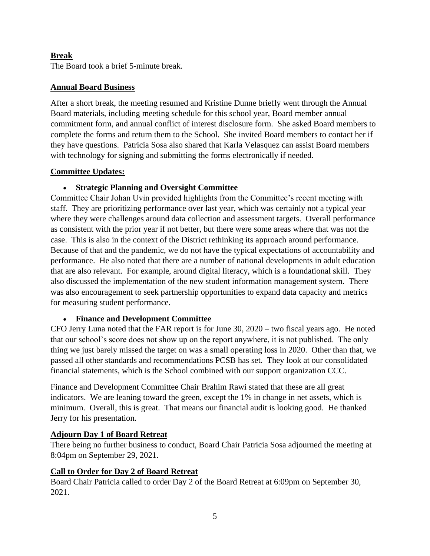## **Break**

The Board took a brief 5-minute break.

### **Annual Board Business**

After a short break, the meeting resumed and Kristine Dunne briefly went through the Annual Board materials, including meeting schedule for this school year, Board member annual commitment form, and annual conflict of interest disclosure form. She asked Board members to complete the forms and return them to the School. She invited Board members to contact her if they have questions. Patricia Sosa also shared that Karla Velasquez can assist Board members with technology for signing and submitting the forms electronically if needed.

#### **Committee Updates:**

### **Strategic Planning and Oversight Committee**

Committee Chair Johan Uvin provided highlights from the Committee's recent meeting with staff. They are prioritizing performance over last year, which was certainly not a typical year where they were challenges around data collection and assessment targets. Overall performance as consistent with the prior year if not better, but there were some areas where that was not the case. This is also in the context of the District rethinking its approach around performance. Because of that and the pandemic, we do not have the typical expectations of accountability and performance. He also noted that there are a number of national developments in adult education that are also relevant. For example, around digital literacy, which is a foundational skill. They also discussed the implementation of the new student information management system. There was also encouragement to seek partnership opportunities to expand data capacity and metrics for measuring student performance.

### **Finance and Development Committee**

CFO Jerry Luna noted that the FAR report is for June 30, 2020 – two fiscal years ago. He noted that our school's score does not show up on the report anywhere, it is not published. The only thing we just barely missed the target on was a small operating loss in 2020. Other than that, we passed all other standards and recommendations PCSB has set. They look at our consolidated financial statements, which is the School combined with our support organization CCC.

Finance and Development Committee Chair Brahim Rawi stated that these are all great indicators. We are leaning toward the green, except the 1% in change in net assets, which is minimum. Overall, this is great. That means our financial audit is looking good. He thanked Jerry for his presentation.

### **Adjourn Day 1 of Board Retreat**

There being no further business to conduct, Board Chair Patricia Sosa adjourned the meeting at 8:04pm on September 29, 2021.

### **Call to Order for Day 2 of Board Retreat**

Board Chair Patricia called to order Day 2 of the Board Retreat at 6:09pm on September 30, 2021.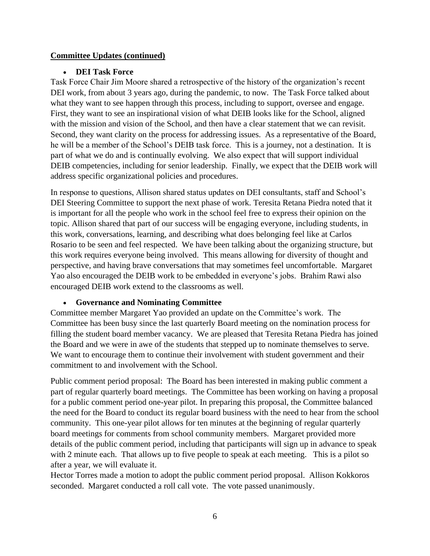### **Committee Updates (continued)**

#### **DEI Task Force**

Task Force Chair Jim Moore shared a retrospective of the history of the organization's recent DEI work, from about 3 years ago, during the pandemic, to now. The Task Force talked about what they want to see happen through this process, including to support, oversee and engage. First, they want to see an inspirational vision of what DEIB looks like for the School, aligned with the mission and vision of the School, and then have a clear statement that we can revisit. Second, they want clarity on the process for addressing issues. As a representative of the Board, he will be a member of the School's DEIB task force. This is a journey, not a destination. It is part of what we do and is continually evolving. We also expect that will support individual DEIB competencies, including for senior leadership. Finally, we expect that the DEIB work will address specific organizational policies and procedures.

In response to questions, Allison shared status updates on DEI consultants, staff and School's DEI Steering Committee to support the next phase of work. Teresita Retana Piedra noted that it is important for all the people who work in the school feel free to express their opinion on the topic. Allison shared that part of our success will be engaging everyone, including students, in this work, conversations, learning, and describing what does belonging feel like at Carlos Rosario to be seen and feel respected. We have been talking about the organizing structure, but this work requires everyone being involved. This means allowing for diversity of thought and perspective, and having brave conversations that may sometimes feel uncomfortable. Margaret Yao also encouraged the DEIB work to be embedded in everyone's jobs. Brahim Rawi also encouraged DEIB work extend to the classrooms as well.

#### **Governance and Nominating Committee**

Committee member Margaret Yao provided an update on the Committee's work. The Committee has been busy since the last quarterly Board meeting on the nomination process for filling the student board member vacancy. We are pleased that Teresita Retana Piedra has joined the Board and we were in awe of the students that stepped up to nominate themselves to serve. We want to encourage them to continue their involvement with student government and their commitment to and involvement with the School.

Public comment period proposal: The Board has been interested in making public comment a part of regular quarterly board meetings. The Committee has been working on having a proposal for a public comment period one-year pilot. In preparing this proposal, the Committee balanced the need for the Board to conduct its regular board business with the need to hear from the school community. This one-year pilot allows for ten minutes at the beginning of regular quarterly board meetings for comments from school community members. Margaret provided more details of the public comment period, including that participants will sign up in advance to speak with 2 minute each. That allows up to five people to speak at each meeting. This is a pilot so after a year, we will evaluate it.

Hector Torres made a motion to adopt the public comment period proposal. Allison Kokkoros seconded. Margaret conducted a roll call vote. The vote passed unanimously.